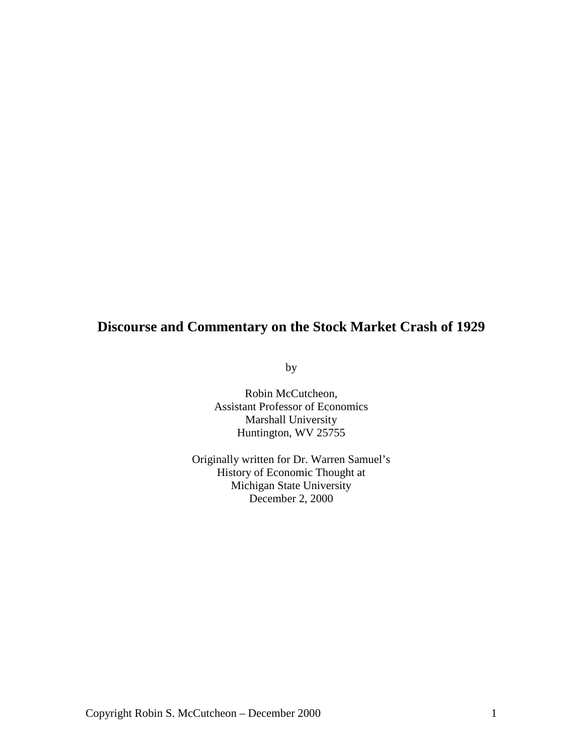# **Discourse and Commentary on the Stock Market Crash of 1929**

by

Robin McCutcheon, Assistant Professor of Economics Marshall University Huntington, WV 25755

Originally written for Dr. Warren Samuel's History of Economic Thought at Michigan State University December 2, 2000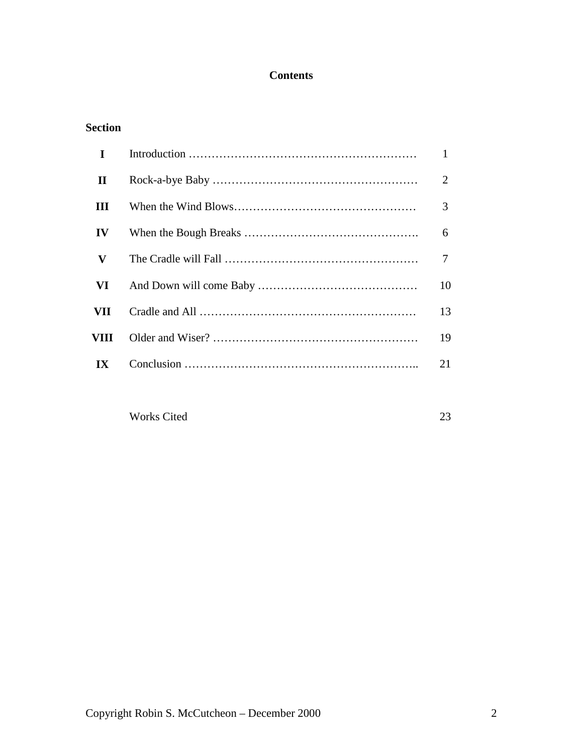# **Contents**

| <b>Section</b> |
|----------------|
|----------------|

| $\mathbf I$  | $\mathbf{1}$ |
|--------------|--------------|
| $\mathbf{I}$ | 2            |
| Ш            | 3            |
| IV           | 6            |
| V            | 7            |
| VI           | 10           |
| VII          | 13           |
| VIII         | 19           |
| IX           | 21           |
|              |              |

Works Cited 23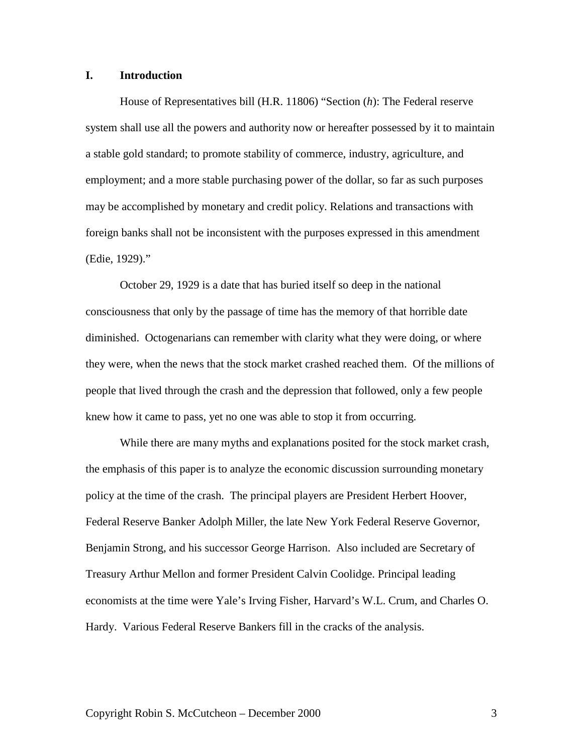# **I. Introduction**

House of Representatives bill (H.R. 11806) "Section (*h*): The Federal reserve system shall use all the powers and authority now or hereafter possessed by it to maintain a stable gold standard; to promote stability of commerce, industry, agriculture, and employment; and a more stable purchasing power of the dollar, so far as such purposes may be accomplished by monetary and credit policy. Relations and transactions with foreign banks shall not be inconsistent with the purposes expressed in this amendment (Edie, 1929)."

October 29, 1929 is a date that has buried itself so deep in the national consciousness that only by the passage of time has the memory of that horrible date diminished. Octogenarians can remember with clarity what they were doing, or where they were, when the news that the stock market crashed reached them. Of the millions of people that lived through the crash and the depression that followed, only a few people knew how it came to pass, yet no one was able to stop it from occurring.

While there are many myths and explanations posited for the stock market crash, the emphasis of this paper is to analyze the economic discussion surrounding monetary policy at the time of the crash. The principal players are President Herbert Hoover, Federal Reserve Banker Adolph Miller, the late New York Federal Reserve Governor, Benjamin Strong, and his successor George Harrison. Also included are Secretary of Treasury Arthur Mellon and former President Calvin Coolidge. Principal leading economists at the time were Yale's Irving Fisher, Harvard's W.L. Crum, and Charles O. Hardy. Various Federal Reserve Bankers fill in the cracks of the analysis.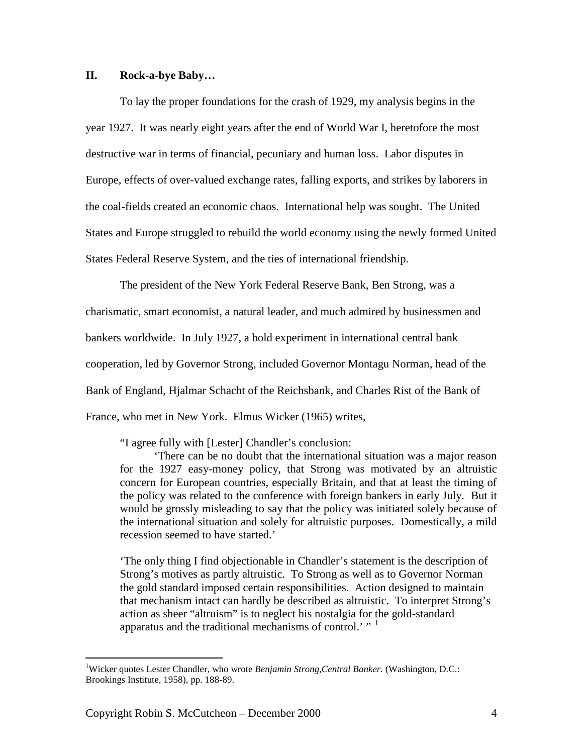# **II. Rock-a-bye Baby…**

To lay the proper foundations for the crash of 1929, my analysis begins in the year 1927. It was nearly eight years after the end of World War I, heretofore the most destructive war in terms of financial, pecuniary and human loss. Labor disputes in Europe, effects of over-valued exchange rates, falling exports, and strikes by laborers in the coal-fields created an economic chaos. International help was sought. The United States and Europe struggled to rebuild the world economy using the newly formed United States Federal Reserve System, and the ties of international friendship.

The president of the New York Federal Reserve Bank, Ben Strong, was a charismatic, smart economist, a natural leader, and much admired by businessmen and bankers worldwide. In July 1927, a bold experiment in international central bank cooperation, led by Governor Strong, included Governor Montagu Norman, head of the Bank of England, Hjalmar Schacht of the Reichsbank, and Charles Rist of the Bank of France, who met in New York. Elmus Wicker (1965) writes,

"I agree fully with [Lester] Chandler's conclusion:

'There can be no doubt that the international situation was a major reason for the 1927 easy-money policy, that Strong was motivated by an altruistic concern for European countries, especially Britain, and that at least the timing of the policy was related to the conference with foreign bankers in early July. But it would be grossly misleading to say that the policy was initiated solely because of the international situation and solely for altruistic purposes. Domestically, a mild recession seemed to have started.'

'The only thing I find objectionable in Chandler's statement is the description of Strong's motives as partly altruistic. To Strong as well as to Governor Norman the gold standard imposed certain responsibilities. Action designed to maintain that mechanism intact can hardly be described as altruistic. To interpret Strong's action as sheer "altruism" is to neglect his nostalgia for the gold-standard apparatus and the traditional mechanisms of control.' "  $<sup>1</sup>$  $<sup>1</sup>$  $<sup>1</sup>$ </sup>

<span id="page-3-0"></span> $\frac{1}{1}$ Wicker quotes Lester Chandler, who wrote *Benjamin Strong,Central Banker.* (Washington, D.C.: Brookings Institute, 1958), pp. 188-89.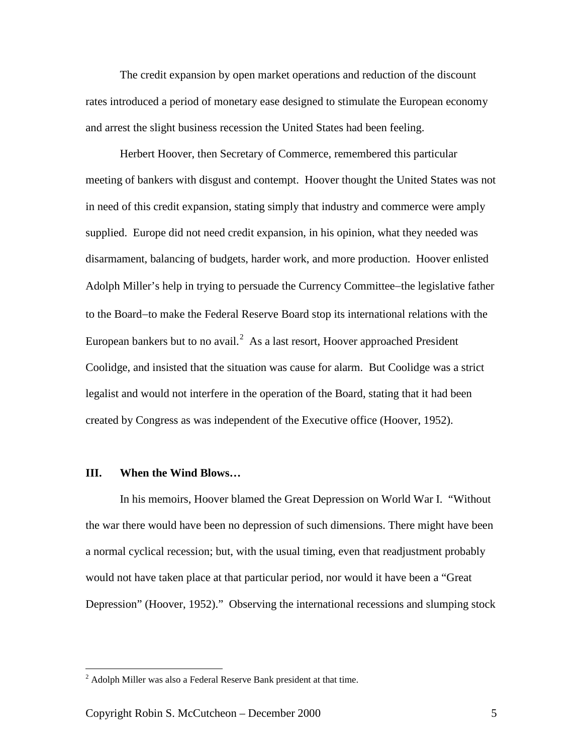The credit expansion by open market operations and reduction of the discount rates introduced a period of monetary ease designed to stimulate the European economy and arrest the slight business recession the United States had been feeling.

Herbert Hoover, then Secretary of Commerce, remembered this particular meeting of bankers with disgust and contempt. Hoover thought the United States was not in need of this credit expansion, stating simply that industry and commerce were amply supplied. Europe did not need credit expansion, in his opinion, what they needed was disarmament, balancing of budgets, harder work, and more production. Hoover enlisted Adolph Miller's help in trying to persuade the Currency Committee−the legislative father to the Board−to make the Federal Reserve Board stop its international relations with the European bankers but to no avail. $<sup>2</sup>$  $<sup>2</sup>$  $<sup>2</sup>$  As a last resort, Hoover approached President</sup> Coolidge, and insisted that the situation was cause for alarm. But Coolidge was a strict legalist and would not interfere in the operation of the Board, stating that it had been created by Congress as was independent of the Executive office (Hoover, 1952).

# **III. When the Wind Blows…**

In his memoirs, Hoover blamed the Great Depression on World War I. "Without the war there would have been no depression of such dimensions. There might have been a normal cyclical recession; but, with the usual timing, even that readjustment probably would not have taken place at that particular period, nor would it have been a "Great Depression" (Hoover, 1952)." Observing the international recessions and slumping stock

<span id="page-4-0"></span> <sup>2</sup> Adolph Miller was also a Federal Reserve Bank president at that time.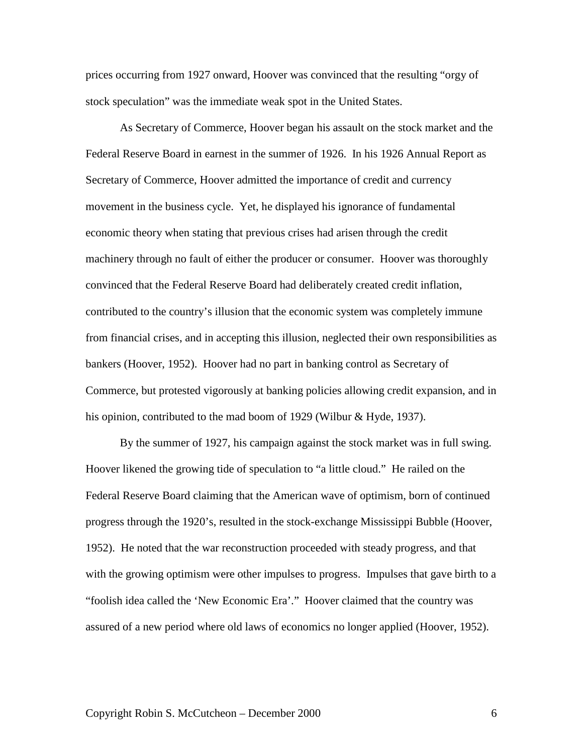prices occurring from 1927 onward, Hoover was convinced that the resulting "orgy of stock speculation" was the immediate weak spot in the United States.

As Secretary of Commerce, Hoover began his assault on the stock market and the Federal Reserve Board in earnest in the summer of 1926. In his 1926 Annual Report as Secretary of Commerce, Hoover admitted the importance of credit and currency movement in the business cycle. Yet, he displayed his ignorance of fundamental economic theory when stating that previous crises had arisen through the credit machinery through no fault of either the producer or consumer. Hoover was thoroughly convinced that the Federal Reserve Board had deliberately created credit inflation, contributed to the country's illusion that the economic system was completely immune from financial crises, and in accepting this illusion, neglected their own responsibilities as bankers (Hoover, 1952). Hoover had no part in banking control as Secretary of Commerce, but protested vigorously at banking policies allowing credit expansion, and in his opinion, contributed to the mad boom of 1929 (Wilbur & Hyde, 1937).

By the summer of 1927, his campaign against the stock market was in full swing. Hoover likened the growing tide of speculation to "a little cloud." He railed on the Federal Reserve Board claiming that the American wave of optimism, born of continued progress through the 1920's, resulted in the stock-exchange Mississippi Bubble (Hoover, 1952). He noted that the war reconstruction proceeded with steady progress, and that with the growing optimism were other impulses to progress. Impulses that gave birth to a "foolish idea called the 'New Economic Era'." Hoover claimed that the country was assured of a new period where old laws of economics no longer applied (Hoover, 1952).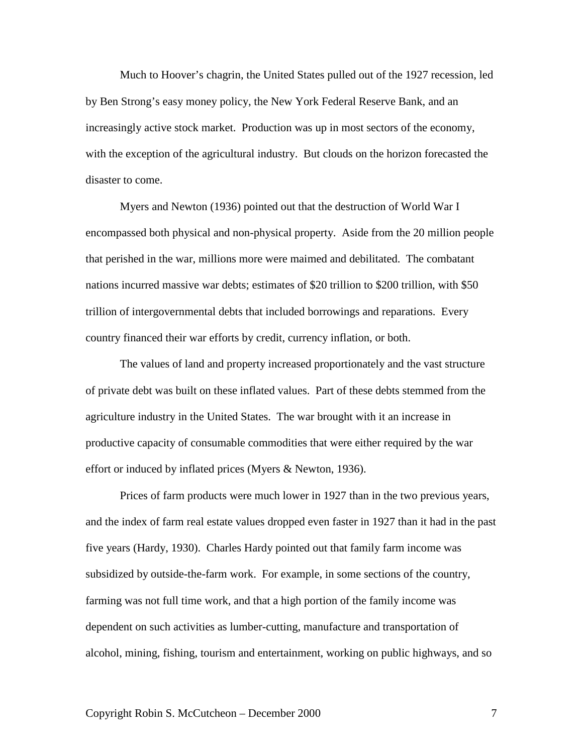Much to Hoover's chagrin, the United States pulled out of the 1927 recession, led by Ben Strong's easy money policy, the New York Federal Reserve Bank, and an increasingly active stock market. Production was up in most sectors of the economy, with the exception of the agricultural industry. But clouds on the horizon forecasted the disaster to come.

Myers and Newton (1936) pointed out that the destruction of World War I encompassed both physical and non-physical property. Aside from the 20 million people that perished in the war, millions more were maimed and debilitated. The combatant nations incurred massive war debts; estimates of \$20 trillion to \$200 trillion, with \$50 trillion of intergovernmental debts that included borrowings and reparations. Every country financed their war efforts by credit, currency inflation, or both.

The values of land and property increased proportionately and the vast structure of private debt was built on these inflated values. Part of these debts stemmed from the agriculture industry in the United States. The war brought with it an increase in productive capacity of consumable commodities that were either required by the war effort or induced by inflated prices (Myers & Newton, 1936).

Prices of farm products were much lower in 1927 than in the two previous years, and the index of farm real estate values dropped even faster in 1927 than it had in the past five years (Hardy, 1930). Charles Hardy pointed out that family farm income was subsidized by outside-the-farm work. For example, in some sections of the country, farming was not full time work, and that a high portion of the family income was dependent on such activities as lumber-cutting, manufacture and transportation of alcohol, mining, fishing, tourism and entertainment, working on public highways, and so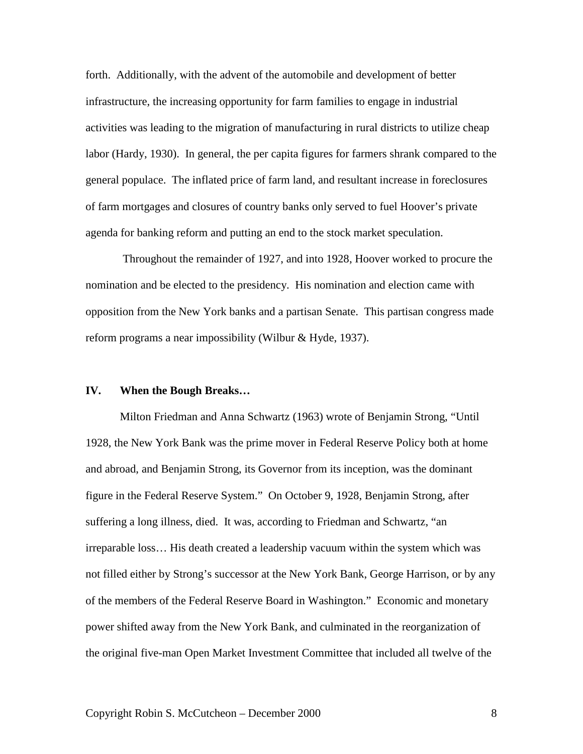forth. Additionally, with the advent of the automobile and development of better infrastructure, the increasing opportunity for farm families to engage in industrial activities was leading to the migration of manufacturing in rural districts to utilize cheap labor (Hardy, 1930). In general, the per capita figures for farmers shrank compared to the general populace. The inflated price of farm land, and resultant increase in foreclosures of farm mortgages and closures of country banks only served to fuel Hoover's private agenda for banking reform and putting an end to the stock market speculation.

Throughout the remainder of 1927, and into 1928, Hoover worked to procure the nomination and be elected to the presidency. His nomination and election came with opposition from the New York banks and a partisan Senate. This partisan congress made reform programs a near impossibility (Wilbur & Hyde, 1937).

#### **IV. When the Bough Breaks…**

Milton Friedman and Anna Schwartz (1963) wrote of Benjamin Strong, "Until 1928, the New York Bank was the prime mover in Federal Reserve Policy both at home and abroad, and Benjamin Strong, its Governor from its inception, was the dominant figure in the Federal Reserve System." On October 9, 1928, Benjamin Strong, after suffering a long illness, died. It was, according to Friedman and Schwartz, "an irreparable loss… His death created a leadership vacuum within the system which was not filled either by Strong's successor at the New York Bank, George Harrison, or by any of the members of the Federal Reserve Board in Washington." Economic and monetary power shifted away from the New York Bank, and culminated in the reorganization of the original five-man Open Market Investment Committee that included all twelve of the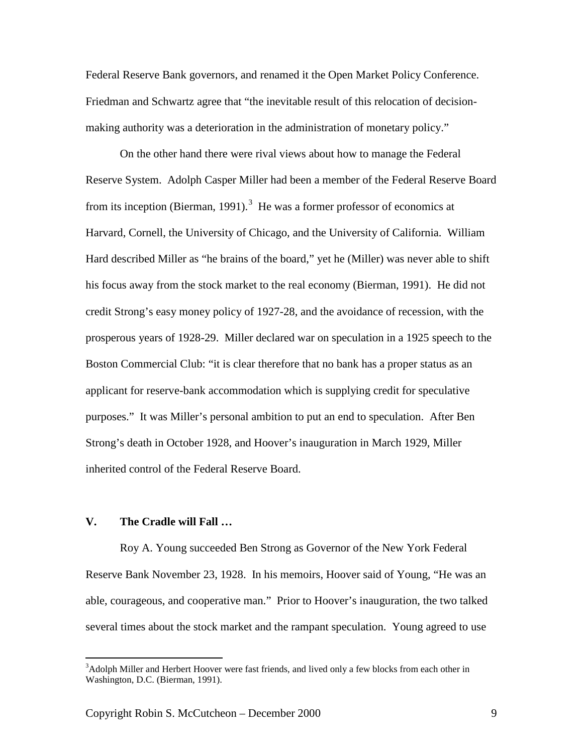Federal Reserve Bank governors, and renamed it the Open Market Policy Conference. Friedman and Schwartz agree that "the inevitable result of this relocation of decisionmaking authority was a deterioration in the administration of monetary policy."

On the other hand there were rival views about how to manage the Federal Reserve System. Adolph Casper Miller had been a member of the Federal Reserve Board from its inception (Bierman, 1991).<sup>[3](#page-8-0)</sup> He was a former professor of economics at Harvard, Cornell, the University of Chicago, and the University of California. William Hard described Miller as "he brains of the board," yet he (Miller) was never able to shift his focus away from the stock market to the real economy (Bierman, 1991). He did not credit Strong's easy money policy of 1927-28, and the avoidance of recession, with the prosperous years of 1928-29. Miller declared war on speculation in a 1925 speech to the Boston Commercial Club: "it is clear therefore that no bank has a proper status as an applicant for reserve-bank accommodation which is supplying credit for speculative purposes." It was Miller's personal ambition to put an end to speculation. After Ben Strong's death in October 1928, and Hoover's inauguration in March 1929, Miller inherited control of the Federal Reserve Board.

# **V. The Cradle will Fall …**

Roy A. Young succeeded Ben Strong as Governor of the New York Federal Reserve Bank November 23, 1928. In his memoirs, Hoover said of Young, "He was an able, courageous, and cooperative man." Prior to Hoover's inauguration, the two talked several times about the stock market and the rampant speculation. Young agreed to use

<span id="page-8-0"></span><sup>&</sup>lt;sup>2</sup><br>3 <sup>3</sup>Adolph Miller and Herbert Hoover were fast friends, and lived only a few blocks from each other in Washington, D.C. (Bierman, 1991).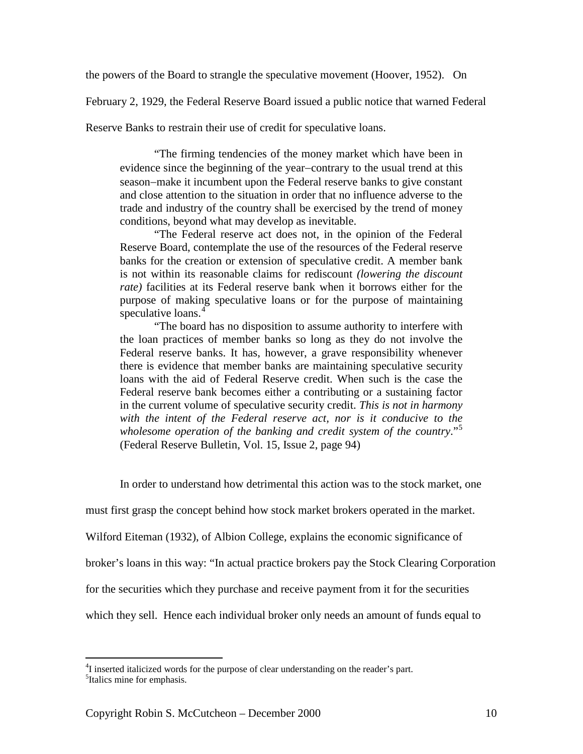the powers of the Board to strangle the speculative movement (Hoover, 1952). On

February 2, 1929, the Federal Reserve Board issued a public notice that warned Federal

Reserve Banks to restrain their use of credit for speculative loans.

"The firming tendencies of the money market which have been in evidence since the beginning of the year−contrary to the usual trend at this season−make it incumbent upon the Federal reserve banks to give constant and close attention to the situation in order that no influence adverse to the trade and industry of the country shall be exercised by the trend of money conditions, beyond what may develop as inevitable.

"The Federal reserve act does not, in the opinion of the Federal Reserve Board, contemplate the use of the resources of the Federal reserve banks for the creation or extension of speculative credit. A member bank is not within its reasonable claims for rediscount *(lowering the discount rate)* facilities at its Federal reserve bank when it borrows either for the purpose of making speculative loans or for the purpose of maintaining speculative loans.<sup>[4](#page-9-0)</sup>

"The board has no disposition to assume authority to interfere with the loan practices of member banks so long as they do not involve the Federal reserve banks. It has, however, a grave responsibility whenever there is evidence that member banks are maintaining speculative security loans with the aid of Federal Reserve credit. When such is the case the Federal reserve bank becomes either a contributing or a sustaining factor in the current volume of speculative security credit. *This is not in harmony with the intent of the Federal reserve act, nor is it conducive to the wholesome operation of the banking and credit system of the country*."[5](#page-9-1) (Federal Reserve Bulletin, Vol. 15, Issue 2, page 94)

In order to understand how detrimental this action was to the stock market, one

must first grasp the concept behind how stock market brokers operated in the market.

Wilford Eiteman (1932), of Albion College, explains the economic significance of

broker's loans in this way: "In actual practice brokers pay the Stock Clearing Corporation

for the securities which they purchase and receive payment from it for the securities

which they sell. Hence each individual broker only needs an amount of funds equal to

<span id="page-9-1"></span><span id="page-9-0"></span> $\frac{1}{4}$  $^{4}$ I inserted italicized words for the purpose of clear understanding on the reader's part. <sup>5</sup>Italics mine for emphasis.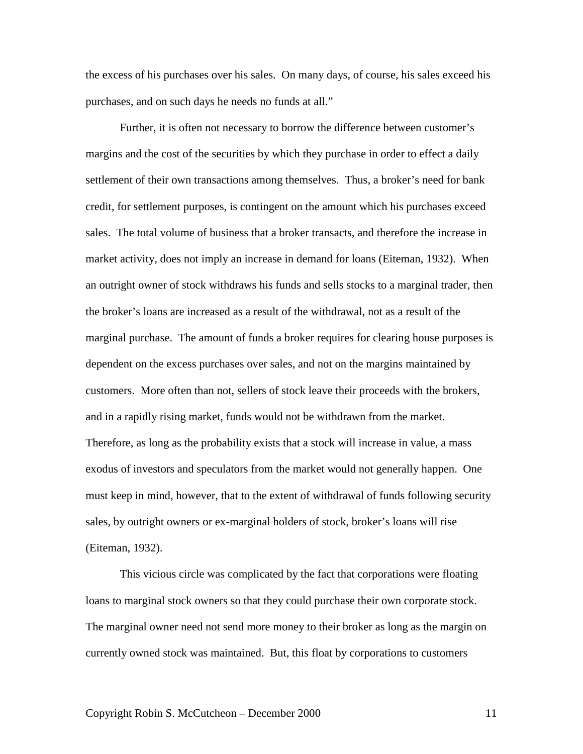the excess of his purchases over his sales. On many days, of course, his sales exceed his purchases, and on such days he needs no funds at all."

Further, it is often not necessary to borrow the difference between customer's margins and the cost of the securities by which they purchase in order to effect a daily settlement of their own transactions among themselves. Thus, a broker's need for bank credit, for settlement purposes, is contingent on the amount which his purchases exceed sales. The total volume of business that a broker transacts, and therefore the increase in market activity, does not imply an increase in demand for loans (Eiteman, 1932). When an outright owner of stock withdraws his funds and sells stocks to a marginal trader, then the broker's loans are increased as a result of the withdrawal, not as a result of the marginal purchase. The amount of funds a broker requires for clearing house purposes is dependent on the excess purchases over sales, and not on the margins maintained by customers. More often than not, sellers of stock leave their proceeds with the brokers, and in a rapidly rising market, funds would not be withdrawn from the market. Therefore, as long as the probability exists that a stock will increase in value, a mass exodus of investors and speculators from the market would not generally happen. One must keep in mind, however, that to the extent of withdrawal of funds following security sales, by outright owners or ex-marginal holders of stock, broker's loans will rise (Eiteman, 1932).

This vicious circle was complicated by the fact that corporations were floating loans to marginal stock owners so that they could purchase their own corporate stock. The marginal owner need not send more money to their broker as long as the margin on currently owned stock was maintained. But, this float by corporations to customers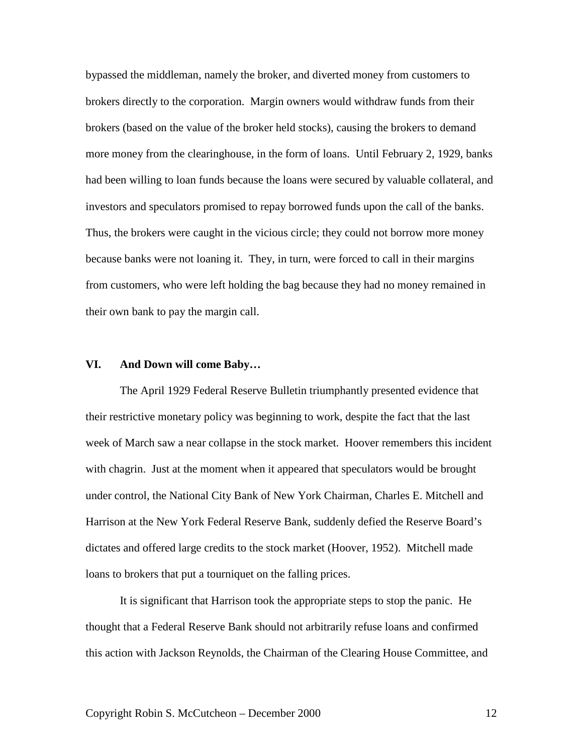bypassed the middleman, namely the broker, and diverted money from customers to brokers directly to the corporation. Margin owners would withdraw funds from their brokers (based on the value of the broker held stocks), causing the brokers to demand more money from the clearinghouse, in the form of loans. Until February 2, 1929, banks had been willing to loan funds because the loans were secured by valuable collateral, and investors and speculators promised to repay borrowed funds upon the call of the banks. Thus, the brokers were caught in the vicious circle; they could not borrow more money because banks were not loaning it. They, in turn, were forced to call in their margins from customers, who were left holding the bag because they had no money remained in their own bank to pay the margin call.

#### **VI. And Down will come Baby…**

The April 1929 Federal Reserve Bulletin triumphantly presented evidence that their restrictive monetary policy was beginning to work, despite the fact that the last week of March saw a near collapse in the stock market. Hoover remembers this incident with chagrin. Just at the moment when it appeared that speculators would be brought under control, the National City Bank of New York Chairman, Charles E. Mitchell and Harrison at the New York Federal Reserve Bank, suddenly defied the Reserve Board's dictates and offered large credits to the stock market (Hoover, 1952). Mitchell made loans to brokers that put a tourniquet on the falling prices.

It is significant that Harrison took the appropriate steps to stop the panic. He thought that a Federal Reserve Bank should not arbitrarily refuse loans and confirmed this action with Jackson Reynolds, the Chairman of the Clearing House Committee, and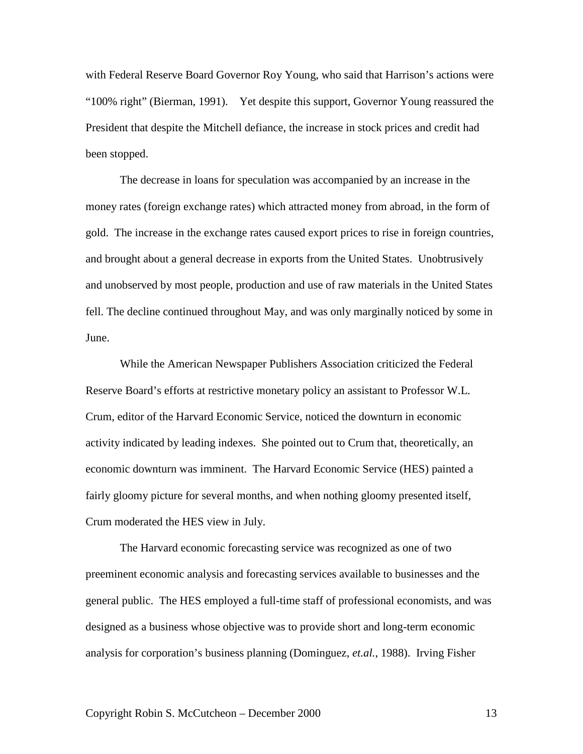with Federal Reserve Board Governor Roy Young, who said that Harrison's actions were "100% right" (Bierman, 1991). Yet despite this support, Governor Young reassured the President that despite the Mitchell defiance, the increase in stock prices and credit had been stopped.

The decrease in loans for speculation was accompanied by an increase in the money rates (foreign exchange rates) which attracted money from abroad, in the form of gold. The increase in the exchange rates caused export prices to rise in foreign countries, and brought about a general decrease in exports from the United States. Unobtrusively and unobserved by most people, production and use of raw materials in the United States fell. The decline continued throughout May, and was only marginally noticed by some in June.

While the American Newspaper Publishers Association criticized the Federal Reserve Board's efforts at restrictive monetary policy an assistant to Professor W.L. Crum, editor of the Harvard Economic Service, noticed the downturn in economic activity indicated by leading indexes. She pointed out to Crum that, theoretically, an economic downturn was imminent. The Harvard Economic Service (HES) painted a fairly gloomy picture for several months, and when nothing gloomy presented itself, Crum moderated the HES view in July.

The Harvard economic forecasting service was recognized as one of two preeminent economic analysis and forecasting services available to businesses and the general public. The HES employed a full-time staff of professional economists, and was designed as a business whose objective was to provide short and long-term economic analysis for corporation's business planning (Dominguez, *et.al.*, 1988). Irving Fisher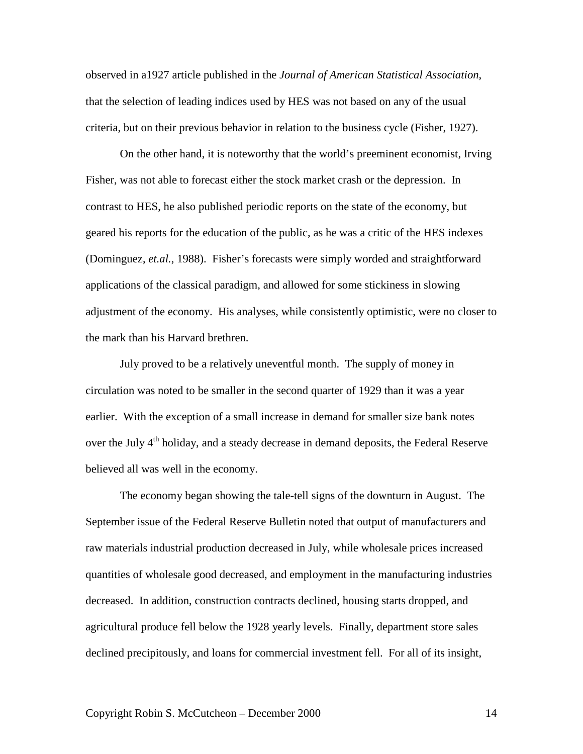observed in a1927 article published in the *Journal of American Statistical Association*, that the selection of leading indices used by HES was not based on any of the usual criteria, but on their previous behavior in relation to the business cycle (Fisher, 1927).

On the other hand, it is noteworthy that the world's preeminent economist, Irving Fisher, was not able to forecast either the stock market crash or the depression. In contrast to HES, he also published periodic reports on the state of the economy, but geared his reports for the education of the public, as he was a critic of the HES indexes (Dominguez, *et.al.*, 1988). Fisher's forecasts were simply worded and straightforward applications of the classical paradigm, and allowed for some stickiness in slowing adjustment of the economy. His analyses, while consistently optimistic, were no closer to the mark than his Harvard brethren.

July proved to be a relatively uneventful month. The supply of money in circulation was noted to be smaller in the second quarter of 1929 than it was a year earlier. With the exception of a small increase in demand for smaller size bank notes over the July 4<sup>th</sup> holiday, and a steady decrease in demand deposits, the Federal Reserve believed all was well in the economy.

The economy began showing the tale-tell signs of the downturn in August. The September issue of the Federal Reserve Bulletin noted that output of manufacturers and raw materials industrial production decreased in July, while wholesale prices increased quantities of wholesale good decreased, and employment in the manufacturing industries decreased. In addition, construction contracts declined, housing starts dropped, and agricultural produce fell below the 1928 yearly levels. Finally, department store sales declined precipitously, and loans for commercial investment fell. For all of its insight,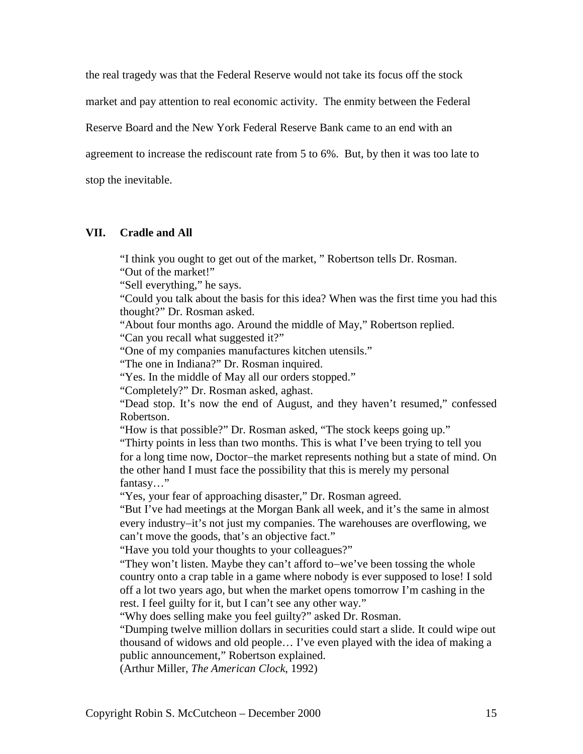the real tragedy was that the Federal Reserve would not take its focus off the stock

market and pay attention to real economic activity. The enmity between the Federal

Reserve Board and the New York Federal Reserve Bank came to an end with an

agreement to increase the rediscount rate from 5 to 6%. But, by then it was too late to

stop the inevitable.

# **VII. Cradle and All**

"I think you ought to get out of the market, " Robertson tells Dr. Rosman. "Out of the market!"

"Sell everything," he says.

"Could you talk about the basis for this idea? When was the first time you had this thought?" Dr. Rosman asked.

"About four months ago. Around the middle of May," Robertson replied. "Can you recall what suggested it?"

"One of my companies manufactures kitchen utensils."

"The one in Indiana?" Dr. Rosman inquired.

"Yes. In the middle of May all our orders stopped."

"Completely?" Dr. Rosman asked, aghast.

"Dead stop. It's now the end of August, and they haven't resumed," confessed Robertson.

"How is that possible?" Dr. Rosman asked, "The stock keeps going up."

"Thirty points in less than two months. This is what I've been trying to tell you for a long time now, Doctor−the market represents nothing but a state of mind. On the other hand I must face the possibility that this is merely my personal fantasy…"

"Yes, your fear of approaching disaster," Dr. Rosman agreed.

"But I've had meetings at the Morgan Bank all week, and it's the same in almost every industry−it's not just my companies. The warehouses are overflowing, we can't move the goods, that's an objective fact."

"Have you told your thoughts to your colleagues?"

"They won't listen. Maybe they can't afford to−we've been tossing the whole country onto a crap table in a game where nobody is ever supposed to lose! I sold off a lot two years ago, but when the market opens tomorrow I'm cashing in the rest. I feel guilty for it, but I can't see any other way."

"Why does selling make you feel guilty?" asked Dr. Rosman.

"Dumping twelve million dollars in securities could start a slide. It could wipe out thousand of widows and old people… I've even played with the idea of making a public announcement," Robertson explained.

(Arthur Miller, *The American Clock*, 1992)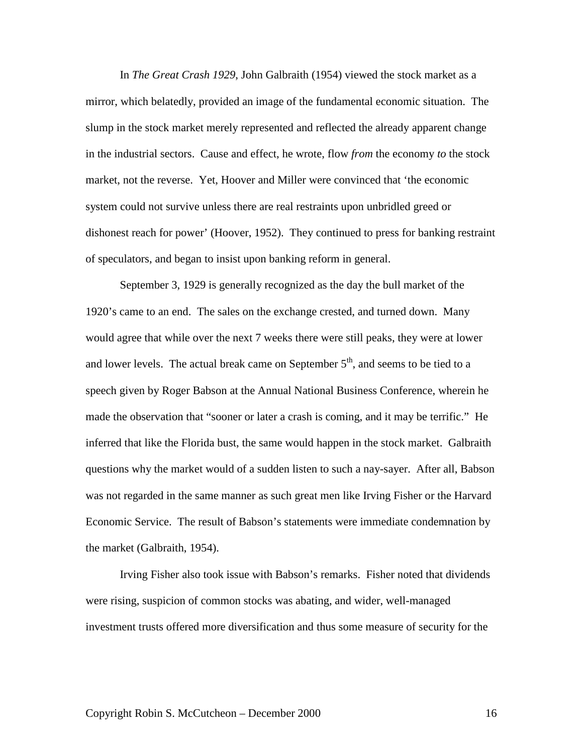In *The Great Crash 1929*, John Galbraith (1954) viewed the stock market as a mirror, which belatedly, provided an image of the fundamental economic situation. The slump in the stock market merely represented and reflected the already apparent change in the industrial sectors. Cause and effect, he wrote, flow *from* the economy *to* the stock market, not the reverse. Yet, Hoover and Miller were convinced that 'the economic system could not survive unless there are real restraints upon unbridled greed or dishonest reach for power' (Hoover, 1952). They continued to press for banking restraint of speculators, and began to insist upon banking reform in general.

September 3, 1929 is generally recognized as the day the bull market of the 1920's came to an end. The sales on the exchange crested, and turned down. Many would agree that while over the next 7 weeks there were still peaks, they were at lower and lower levels. The actual break came on September  $5<sup>th</sup>$ , and seems to be tied to a speech given by Roger Babson at the Annual National Business Conference, wherein he made the observation that "sooner or later a crash is coming, and it may be terrific." He inferred that like the Florida bust, the same would happen in the stock market. Galbraith questions why the market would of a sudden listen to such a nay-sayer. After all, Babson was not regarded in the same manner as such great men like Irving Fisher or the Harvard Economic Service. The result of Babson's statements were immediate condemnation by the market (Galbraith, 1954).

Irving Fisher also took issue with Babson's remarks. Fisher noted that dividends were rising, suspicion of common stocks was abating, and wider, well-managed investment trusts offered more diversification and thus some measure of security for the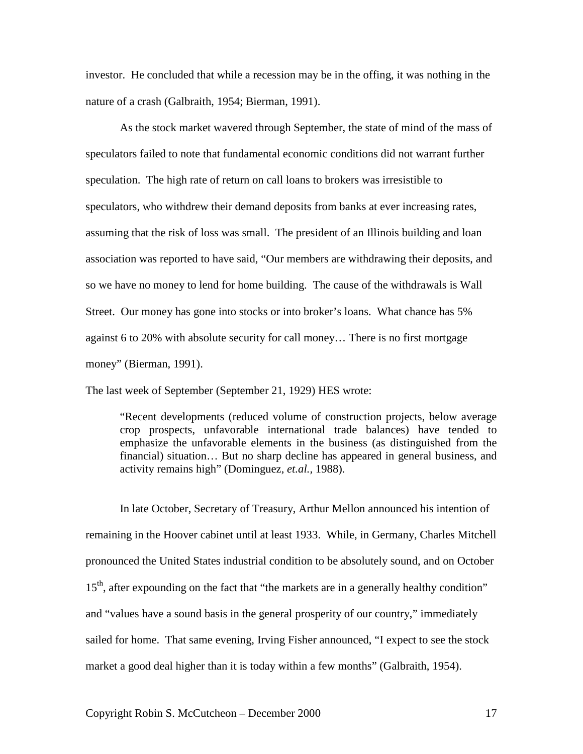investor. He concluded that while a recession may be in the offing, it was nothing in the nature of a crash (Galbraith, 1954; Bierman, 1991).

As the stock market wavered through September, the state of mind of the mass of speculators failed to note that fundamental economic conditions did not warrant further speculation. The high rate of return on call loans to brokers was irresistible to speculators, who withdrew their demand deposits from banks at ever increasing rates, assuming that the risk of loss was small. The president of an Illinois building and loan association was reported to have said, "Our members are withdrawing their deposits, and so we have no money to lend for home building. The cause of the withdrawals is Wall Street. Our money has gone into stocks or into broker's loans. What chance has 5% against 6 to 20% with absolute security for call money… There is no first mortgage money" (Bierman, 1991).

The last week of September (September 21, 1929) HES wrote:

"Recent developments (reduced volume of construction projects, below average crop prospects, unfavorable international trade balances) have tended to emphasize the unfavorable elements in the business (as distinguished from the financial) situation… But no sharp decline has appeared in general business, and activity remains high" (Dominguez, *et.al.,* 1988).

In late October, Secretary of Treasury, Arthur Mellon announced his intention of remaining in the Hoover cabinet until at least 1933. While, in Germany, Charles Mitchell pronounced the United States industrial condition to be absolutely sound, and on October 15<sup>th</sup>, after expounding on the fact that "the markets are in a generally healthy condition" and "values have a sound basis in the general prosperity of our country," immediately sailed for home. That same evening, Irving Fisher announced, "I expect to see the stock market a good deal higher than it is today within a few months" (Galbraith, 1954).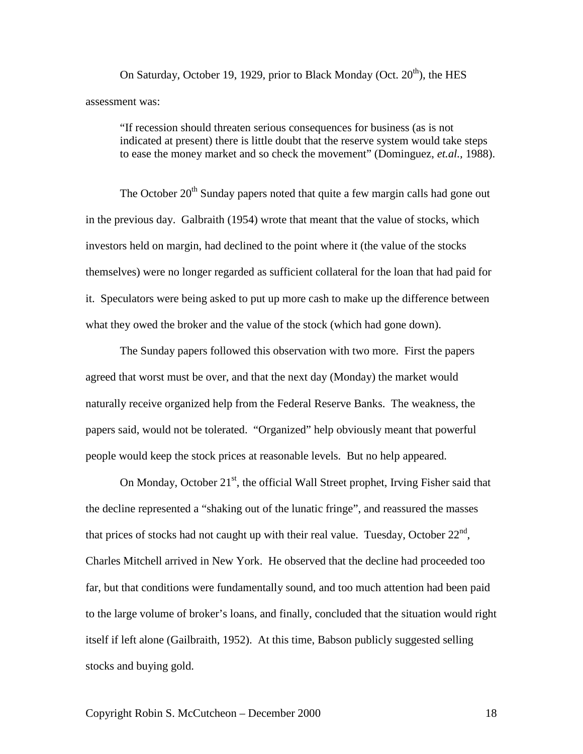On Saturday, October 19, 1929, prior to Black Monday (Oct.  $20<sup>th</sup>$ ), the HES assessment was:

"If recession should threaten serious consequences for business (as is not indicated at present) there is little doubt that the reserve system would take steps to ease the money market and so check the movement" (Dominguez, *et.al.,* 1988).

The October  $20<sup>th</sup>$  Sunday papers noted that quite a few margin calls had gone out in the previous day. Galbraith (1954) wrote that meant that the value of stocks, which investors held on margin, had declined to the point where it (the value of the stocks themselves) were no longer regarded as sufficient collateral for the loan that had paid for it. Speculators were being asked to put up more cash to make up the difference between what they owed the broker and the value of the stock (which had gone down).

The Sunday papers followed this observation with two more. First the papers agreed that worst must be over, and that the next day (Monday) the market would naturally receive organized help from the Federal Reserve Banks. The weakness, the papers said, would not be tolerated. "Organized" help obviously meant that powerful people would keep the stock prices at reasonable levels. But no help appeared.

On Monday, October  $21^{st}$ , the official Wall Street prophet, Irving Fisher said that the decline represented a "shaking out of the lunatic fringe", and reassured the masses that prices of stocks had not caught up with their real value. Tuesday, October  $22<sup>nd</sup>$ , Charles Mitchell arrived in New York. He observed that the decline had proceeded too far, but that conditions were fundamentally sound, and too much attention had been paid to the large volume of broker's loans, and finally, concluded that the situation would right itself if left alone (Gailbraith, 1952). At this time, Babson publicly suggested selling stocks and buying gold.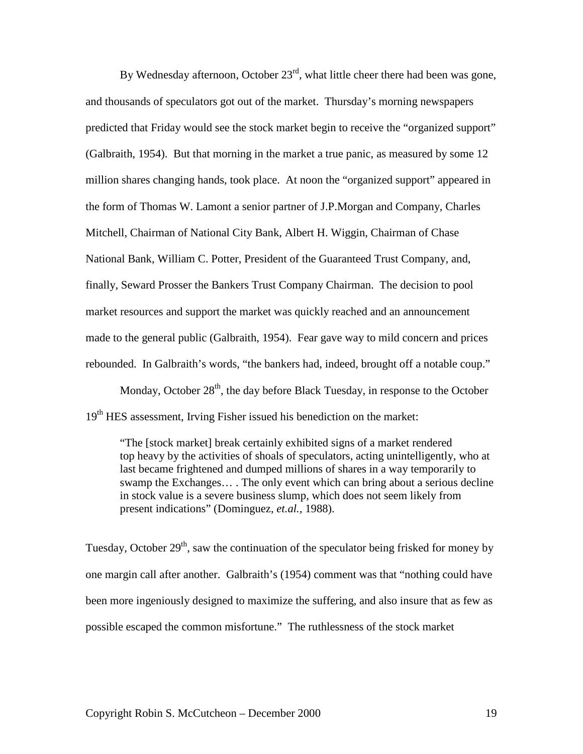By Wednesday afternoon, October  $23<sup>rd</sup>$ , what little cheer there had been was gone, and thousands of speculators got out of the market. Thursday's morning newspapers predicted that Friday would see the stock market begin to receive the "organized support" (Galbraith, 1954). But that morning in the market a true panic, as measured by some 12 million shares changing hands, took place. At noon the "organized support" appeared in the form of Thomas W. Lamont a senior partner of J.P.Morgan and Company, Charles Mitchell, Chairman of National City Bank, Albert H. Wiggin, Chairman of Chase National Bank, William C. Potter, President of the Guaranteed Trust Company, and, finally, Seward Prosser the Bankers Trust Company Chairman. The decision to pool market resources and support the market was quickly reached and an announcement made to the general public (Galbraith, 1954). Fear gave way to mild concern and prices rebounded. In Galbraith's words, "the bankers had, indeed, brought off a notable coup."

Monday, October  $28<sup>th</sup>$ , the day before Black Tuesday, in response to the October 19<sup>th</sup> HES assessment, Irving Fisher issued his benediction on the market:

"The [stock market] break certainly exhibited signs of a market rendered top heavy by the activities of shoals of speculators, acting unintelligently, who at last became frightened and dumped millions of shares in a way temporarily to swamp the Exchanges… . The only event which can bring about a serious decline in stock value is a severe business slump, which does not seem likely from present indications" (Dominguez, *et.al.,* 1988).

Tuesday, October  $29<sup>th</sup>$ , saw the continuation of the speculator being frisked for money by one margin call after another. Galbraith's (1954) comment was that "nothing could have been more ingeniously designed to maximize the suffering, and also insure that as few as possible escaped the common misfortune." The ruthlessness of the stock market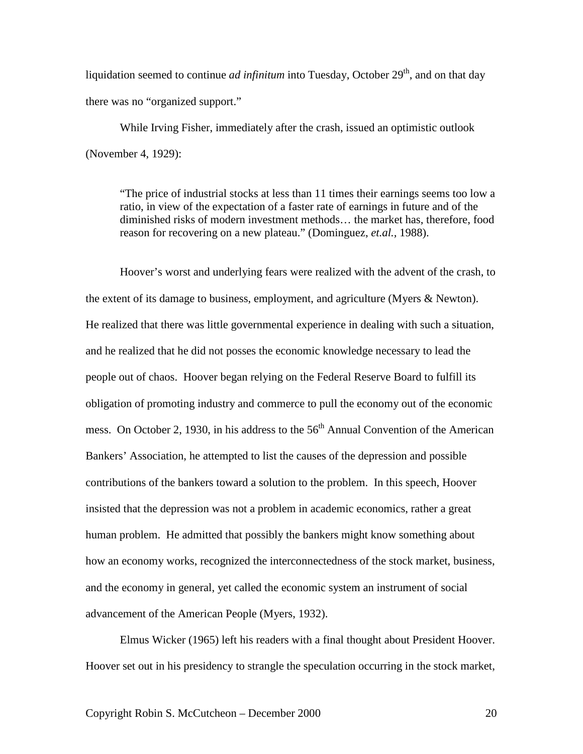liquidation seemed to continue *ad infinitum* into Tuesday, October  $29<sup>th</sup>$ , and on that day there was no "organized support."

While Irving Fisher, immediately after the crash, issued an optimistic outlook (November 4, 1929):

"The price of industrial stocks at less than 11 times their earnings seems too low a ratio, in view of the expectation of a faster rate of earnings in future and of the diminished risks of modern investment methods… the market has, therefore, food reason for recovering on a new plateau." (Dominguez, *et.al.,* 1988).

Hoover's worst and underlying fears were realized with the advent of the crash, to the extent of its damage to business, employment, and agriculture (Myers & Newton). He realized that there was little governmental experience in dealing with such a situation, and he realized that he did not posses the economic knowledge necessary to lead the people out of chaos. Hoover began relying on the Federal Reserve Board to fulfill its obligation of promoting industry and commerce to pull the economy out of the economic mess. On October 2, 1930, in his address to the  $56<sup>th</sup>$  Annual Convention of the American Bankers' Association, he attempted to list the causes of the depression and possible contributions of the bankers toward a solution to the problem. In this speech, Hoover insisted that the depression was not a problem in academic economics, rather a great human problem. He admitted that possibly the bankers might know something about how an economy works, recognized the interconnectedness of the stock market, business, and the economy in general, yet called the economic system an instrument of social advancement of the American People (Myers, 1932).

Elmus Wicker (1965) left his readers with a final thought about President Hoover. Hoover set out in his presidency to strangle the speculation occurring in the stock market,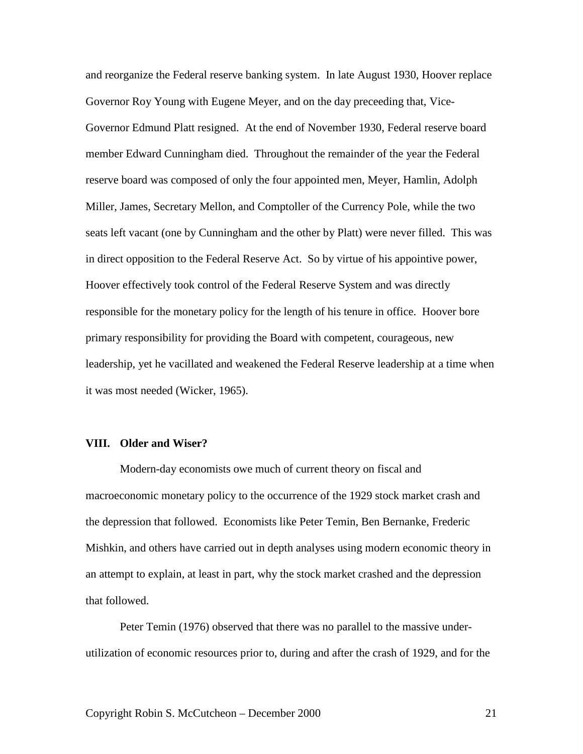and reorganize the Federal reserve banking system. In late August 1930, Hoover replace Governor Roy Young with Eugene Meyer, and on the day preceeding that, Vice-Governor Edmund Platt resigned. At the end of November 1930, Federal reserve board member Edward Cunningham died. Throughout the remainder of the year the Federal reserve board was composed of only the four appointed men, Meyer, Hamlin, Adolph Miller, James, Secretary Mellon, and Comptoller of the Currency Pole, while the two seats left vacant (one by Cunningham and the other by Platt) were never filled. This was in direct opposition to the Federal Reserve Act. So by virtue of his appointive power, Hoover effectively took control of the Federal Reserve System and was directly responsible for the monetary policy for the length of his tenure in office. Hoover bore primary responsibility for providing the Board with competent, courageous, new leadership, yet he vacillated and weakened the Federal Reserve leadership at a time when it was most needed (Wicker, 1965).

#### **VIII. Older and Wiser?**

Modern-day economists owe much of current theory on fiscal and macroeconomic monetary policy to the occurrence of the 1929 stock market crash and the depression that followed. Economists like Peter Temin, Ben Bernanke, Frederic Mishkin, and others have carried out in depth analyses using modern economic theory in an attempt to explain, at least in part, why the stock market crashed and the depression that followed.

Peter Temin (1976) observed that there was no parallel to the massive underutilization of economic resources prior to, during and after the crash of 1929, and for the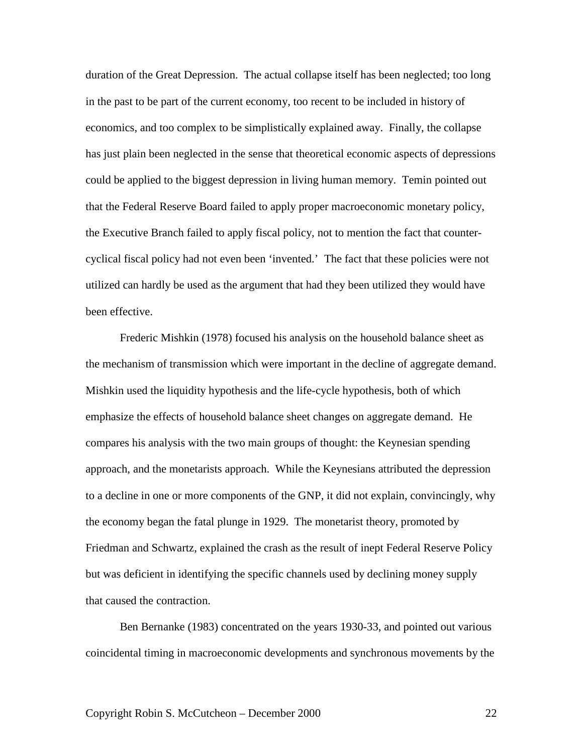duration of the Great Depression. The actual collapse itself has been neglected; too long in the past to be part of the current economy, too recent to be included in history of economics, and too complex to be simplistically explained away. Finally, the collapse has just plain been neglected in the sense that theoretical economic aspects of depressions could be applied to the biggest depression in living human memory. Temin pointed out that the Federal Reserve Board failed to apply proper macroeconomic monetary policy, the Executive Branch failed to apply fiscal policy, not to mention the fact that countercyclical fiscal policy had not even been 'invented.' The fact that these policies were not utilized can hardly be used as the argument that had they been utilized they would have been effective.

Frederic Mishkin (1978) focused his analysis on the household balance sheet as the mechanism of transmission which were important in the decline of aggregate demand. Mishkin used the liquidity hypothesis and the life-cycle hypothesis, both of which emphasize the effects of household balance sheet changes on aggregate demand. He compares his analysis with the two main groups of thought: the Keynesian spending approach, and the monetarists approach. While the Keynesians attributed the depression to a decline in one or more components of the GNP, it did not explain, convincingly, why the economy began the fatal plunge in 1929. The monetarist theory, promoted by Friedman and Schwartz, explained the crash as the result of inept Federal Reserve Policy but was deficient in identifying the specific channels used by declining money supply that caused the contraction.

Ben Bernanke (1983) concentrated on the years 1930-33, and pointed out various coincidental timing in macroeconomic developments and synchronous movements by the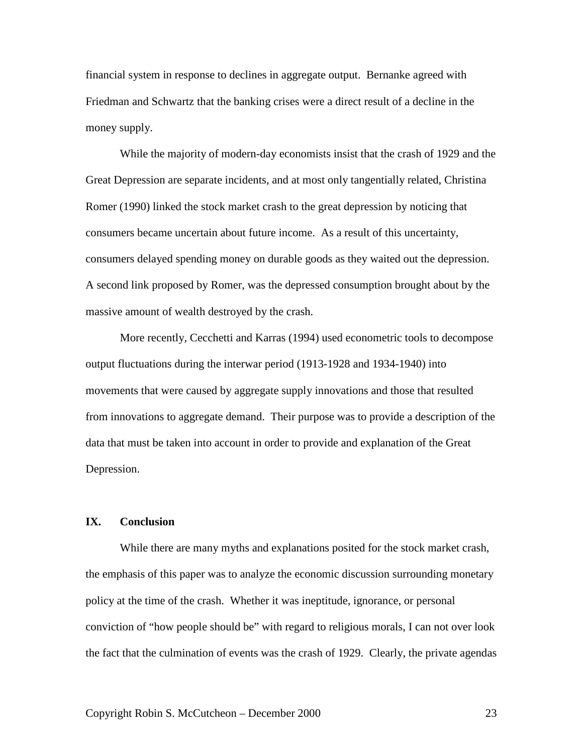financial system in response to declines in aggregate output. Bernanke agreed with Friedman and Schwartz that the banking crises were a direct result of a decline in the money supply.

While the majority of modern-day economists insist that the crash of 1929 and the Great Depression are separate incidents, and at most only tangentially related, Christina Romer (1990) linked the stock market crash to the great depression by noticing that consumers became uncertain about future income. As a result of this uncertainty, consumers delayed spending money on durable goods as they waited out the depression. A second link proposed by Romer, was the depressed consumption brought about by the massive amount of wealth destroyed by the crash.

More recently, Cecchetti and Karras (1994) used econometric tools to decompose output fluctuations during the interwar period (1913-1928 and 1934-1940) into movements that were caused by aggregate supply innovations and those that resulted from innovations to aggregate demand. Their purpose was to provide a description of the data that must be taken into account in order to provide and explanation of the Great Depression.

#### **IX. Conclusion**

While there are many myths and explanations posited for the stock market crash, the emphasis of this paper was to analyze the economic discussion surrounding monetary policy at the time of the crash. Whether it was ineptitude, ignorance, or personal conviction of "how people should be" with regard to religious morals, I can not over look the fact that the culmination of events was the crash of 1929. Clearly, the private agendas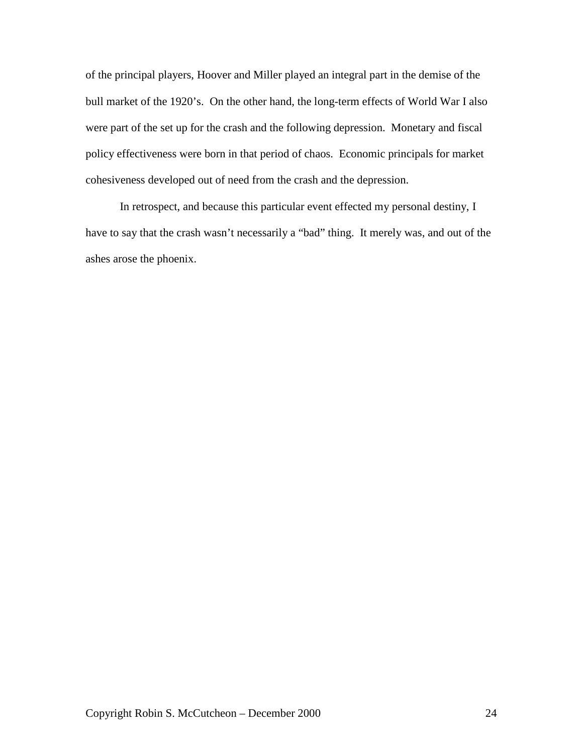of the principal players, Hoover and Miller played an integral part in the demise of the bull market of the 1920's. On the other hand, the long-term effects of World War I also were part of the set up for the crash and the following depression. Monetary and fiscal policy effectiveness were born in that period of chaos. Economic principals for market cohesiveness developed out of need from the crash and the depression.

In retrospect, and because this particular event effected my personal destiny, I have to say that the crash wasn't necessarily a "bad" thing. It merely was, and out of the ashes arose the phoenix.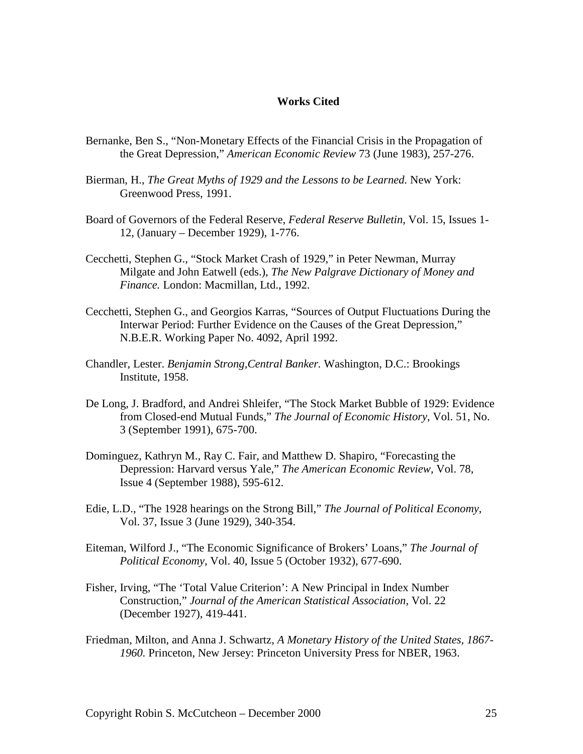#### **Works Cited**

- Bernanke, Ben S., "Non-Monetary Effects of the Financial Crisis in the Propagation of the Great Depression," *American Economic Review* 73 (June 1983), 257-276.
- Bierman, H., *The Great Myths of 1929 and the Lessons to be Learned.* New York: Greenwood Press, 1991.
- Board of Governors of the Federal Reserve, *Federal Reserve Bulletin*, Vol. 15, Issues 1- 12, (January – December 1929), 1-776.
- Cecchetti, Stephen G., "Stock Market Crash of 1929," in Peter Newman, Murray Milgate and John Eatwell (eds.), *The New Palgrave Dictionary of Money and Finance.* London: Macmillan, Ltd., 1992.
- Cecchetti, Stephen G., and Georgios Karras, "Sources of Output Fluctuations During the Interwar Period: Further Evidence on the Causes of the Great Depression," N.B.E.R. Working Paper No. 4092, April 1992.
- Chandler, Lester. *Benjamin Strong,Central Banker.* Washington, D.C.: Brookings Institute, 1958.
- De Long, J. Bradford, and Andrei Shleifer, "The Stock Market Bubble of 1929: Evidence from Closed-end Mutual Funds," *The Journal of Economic History*, Vol. 51, No. 3 (September 1991), 675-700.
- Dominguez, Kathryn M., Ray C. Fair, and Matthew D. Shapiro, "Forecasting the Depression: Harvard versus Yale," *The American Economic Review,* Vol. 78, Issue 4 (September 1988), 595-612.
- Edie, L.D., "The 1928 hearings on the Strong Bill," *The Journal of Political Economy*, Vol. 37, Issue 3 (June 1929), 340-354.
- Eiteman, Wilford J., "The Economic Significance of Brokers' Loans," *The Journal of Political Economy*, Vol. 40, Issue 5 (October 1932), 677-690.
- Fisher, Irving, "The 'Total Value Criterion': A New Principal in Index Number Construction," *Journal of the American Statistical Association*, Vol. 22 (December 1927), 419-441.
- Friedman, Milton, and Anna J. Schwartz, *A Monetary History of the United States, 1867- 1960.* Princeton, New Jersey: Princeton University Press for NBER, 1963.